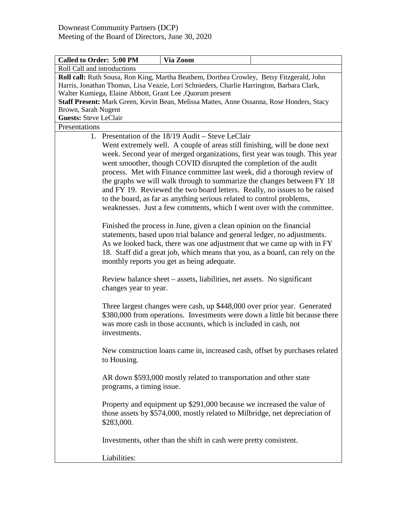| Called to Order: 5:00 PM<br>Via Zoom |                                                                                                                                                |                                                                                           |  |  |
|--------------------------------------|------------------------------------------------------------------------------------------------------------------------------------------------|-------------------------------------------------------------------------------------------|--|--|
| Roll Call and introductions          |                                                                                                                                                |                                                                                           |  |  |
|                                      |                                                                                                                                                | Roll call: Ruth Sousa, Ron King, Martha Beathem, Dorthea Crowley, Betsy Fitzgerald, John  |  |  |
|                                      |                                                                                                                                                | Harris, Jonathan Thomas, Lisa Veazie, Lori Schnieders, Charlie Harrington, Barbara Clark, |  |  |
|                                      |                                                                                                                                                | Walter Kumiega, Elaine Abbott, Grant Lee , Quorum present                                 |  |  |
|                                      |                                                                                                                                                | Staff Present: Mark Green, Kevin Bean, Melissa Mattes, Anne Ossanna, Rose Honders, Stacy  |  |  |
| Brown, Sarah Nugent                  |                                                                                                                                                |                                                                                           |  |  |
| <b>Guests: Steve LeClair</b>         |                                                                                                                                                |                                                                                           |  |  |
| Presentations                        |                                                                                                                                                |                                                                                           |  |  |
|                                      |                                                                                                                                                | 1. Presentation of the 18/19 Audit – Steve LeClair                                        |  |  |
|                                      |                                                                                                                                                | Went extremely well. A couple of areas still finishing, will be done next                 |  |  |
|                                      |                                                                                                                                                | week. Second year of merged organizations, first year was tough. This year                |  |  |
|                                      |                                                                                                                                                | went smoother, though COVID disrupted the completion of the audit                         |  |  |
|                                      |                                                                                                                                                | process. Met with Finance committee last week, did a thorough review of                   |  |  |
|                                      |                                                                                                                                                | the graphs we will walk through to summarize the changes between FY 18                    |  |  |
|                                      |                                                                                                                                                | and FY 19. Reviewed the two board letters. Really, no issues to be raised                 |  |  |
|                                      |                                                                                                                                                | to the board, as far as anything serious related to control problems,                     |  |  |
|                                      |                                                                                                                                                | weaknesses. Just a few comments, which I went over with the committee.                    |  |  |
|                                      |                                                                                                                                                |                                                                                           |  |  |
|                                      |                                                                                                                                                | Finished the process in June, given a clean opinion on the financial                      |  |  |
|                                      |                                                                                                                                                | statements, based upon trial balance and general ledger, no adjustments.                  |  |  |
|                                      |                                                                                                                                                |                                                                                           |  |  |
|                                      |                                                                                                                                                | As we looked back, there was one adjustment that we came up with in FY                    |  |  |
|                                      |                                                                                                                                                | 18. Staff did a great job, which means that you, as a board, can rely on the              |  |  |
|                                      |                                                                                                                                                | monthly reports you get as being adequate.                                                |  |  |
|                                      |                                                                                                                                                | Review balance sheet – assets, liabilities, net assets. No significant                    |  |  |
|                                      | changes year to year.                                                                                                                          |                                                                                           |  |  |
|                                      |                                                                                                                                                | Three largest changes were cash, up \$448,000 over prior year. Generated                  |  |  |
|                                      |                                                                                                                                                |                                                                                           |  |  |
|                                      | \$380,000 from operations. Investments were down a little bit because there<br>was more cash in those accounts, which is included in cash, not |                                                                                           |  |  |
|                                      | investments.                                                                                                                                   |                                                                                           |  |  |
|                                      |                                                                                                                                                |                                                                                           |  |  |
|                                      |                                                                                                                                                | New construction loans came in, increased cash, offset by purchases related               |  |  |
|                                      | to Housing.                                                                                                                                    |                                                                                           |  |  |
|                                      |                                                                                                                                                |                                                                                           |  |  |
|                                      |                                                                                                                                                | AR down \$593,000 mostly related to transportation and other state                        |  |  |
|                                      | programs, a timing issue.                                                                                                                      |                                                                                           |  |  |
|                                      |                                                                                                                                                |                                                                                           |  |  |
|                                      |                                                                                                                                                | Property and equipment up \$291,000 because we increased the value of                     |  |  |
|                                      |                                                                                                                                                |                                                                                           |  |  |
|                                      |                                                                                                                                                | those assets by \$574,000, mostly related to Milbridge, net depreciation of               |  |  |
|                                      | \$283,000.                                                                                                                                     |                                                                                           |  |  |
|                                      |                                                                                                                                                |                                                                                           |  |  |
|                                      |                                                                                                                                                | Investments, other than the shift in cash were pretty consistent.                         |  |  |
|                                      | Liabilities:                                                                                                                                   |                                                                                           |  |  |
|                                      |                                                                                                                                                |                                                                                           |  |  |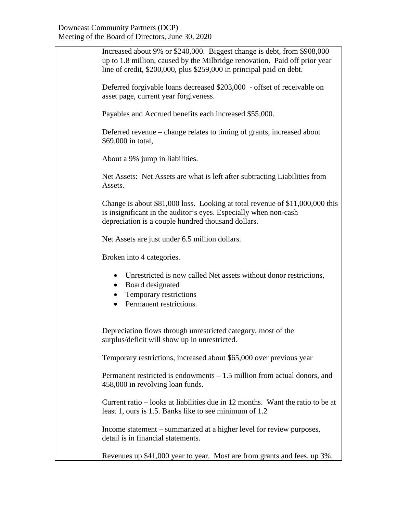| Increased about 9% or \$240,000. Biggest change is debt, from \$908,000<br>up to 1.8 million, caused by the Milbridge renovation. Paid off prior year<br>line of credit, \$200,000, plus \$259,000 in principal paid on debt. |
|-------------------------------------------------------------------------------------------------------------------------------------------------------------------------------------------------------------------------------|
| Deferred forgivable loans decreased \$203,000 - offset of receivable on<br>asset page, current year forgiveness.                                                                                                              |
| Payables and Accrued benefits each increased \$55,000.                                                                                                                                                                        |
| Deferred revenue – change relates to timing of grants, increased about<br>\$69,000 in total,                                                                                                                                  |
| About a 9% jump in liabilities.                                                                                                                                                                                               |
| Net Assets: Net Assets are what is left after subtracting Liabilities from<br>Assets.                                                                                                                                         |
| Change is about \$81,000 loss. Looking at total revenue of \$11,000,000 this<br>is insignificant in the auditor's eyes. Especially when non-cash<br>depreciation is a couple hundred thousand dollars.                        |
| Net Assets are just under 6.5 million dollars.                                                                                                                                                                                |
| Broken into 4 categories.                                                                                                                                                                                                     |
| Unrestricted is now called Net assets without donor restrictions,<br>$\bullet$<br>Board designated<br>$\bullet$<br>Temporary restrictions<br>$\bullet$<br>Permanent restrictions.<br>$\bullet$                                |
| Depreciation flows through unrestricted category, most of the<br>surplus/deficit will show up in unrestricted.                                                                                                                |
| Temporary restrictions, increased about \$65,000 over previous year                                                                                                                                                           |
| Permanent restricted is endowments $-1.5$ million from actual donors, and<br>458,000 in revolving loan funds.                                                                                                                 |
| Current ratio – looks at liabilities due in 12 months. Want the ratio to be at<br>least 1, ours is 1.5. Banks like to see minimum of 1.2                                                                                      |
| Income statement – summarized at a higher level for review purposes,<br>detail is in financial statements.                                                                                                                    |
| Revenues up \$41,000 year to year. Most are from grants and fees, up 3%.                                                                                                                                                      |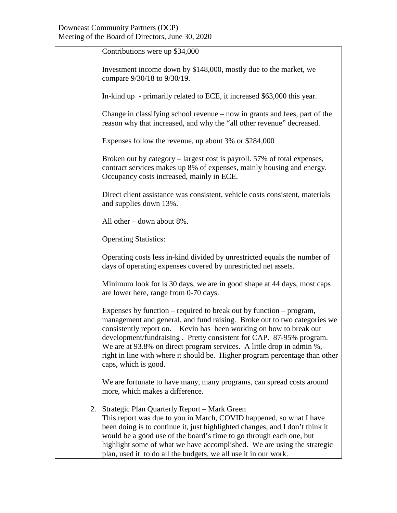Contributions were up \$34,000 Investment income down by \$148,000, mostly due to the market, we compare 9/30/18 to 9/30/19. In-kind up - primarily related to ECE, it increased \$63,000 this year. Change in classifying school revenue – now in grants and fees, part of the reason why that increased, and why the "all other revenue" decreased. Expenses follow the revenue, up about 3% or \$284,000 Broken out by category – largest cost is payroll. 57% of total expenses, contract services makes up 8% of expenses, mainly housing and energy. Occupancy costs increased, mainly in ECE. Direct client assistance was consistent, vehicle costs consistent, materials and supplies down 13%. All other – down about 8%. Operating Statistics: Operating costs less in-kind divided by unrestricted equals the number of days of operating expenses covered by unrestricted net assets. Minimum look for is 30 days, we are in good shape at 44 days, most caps are lower here, range from 0-70 days. Expenses by function – required to break out by function – program, management and general, and fund raising. Broke out to two categories we consistently report on. Kevin has been working on how to break out development/fundraising . Pretty consistent for CAP. 87-95% program. We are at 93.8% on direct program services. A little drop in admin %, right in line with where it should be. Higher program percentage than other caps, which is good. We are fortunate to have many, many programs, can spread costs around more, which makes a difference. 2. Strategic Plan Quarterly Report – Mark Green This report was due to you in March, COVID happened, so what I have been doing is to continue it, just highlighted changes, and I don't think it would be a good use of the board's time to go through each one, but highlight some of what we have accomplished. We are using the strategic plan, used it to do all the budgets, we all use it in our work.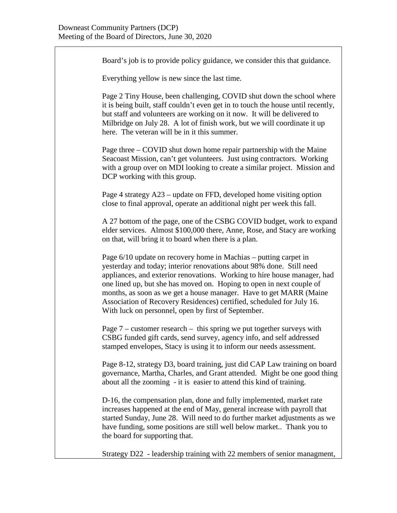Board's job is to provide policy guidance, we consider this that guidance.

Everything yellow is new since the last time.

Page 2 Tiny House, been challenging, COVID shut down the school where it is being built, staff couldn't even get in to touch the house until recently, but staff and volunteers are working on it now. It will be delivered to Milbridge on July 28. A lot of finish work, but we will coordinate it up here. The veteran will be in it this summer.

Page three – COVID shut down home repair partnership with the Maine Seacoast Mission, can't get volunteers. Just using contractors. Working with a group over on MDI looking to create a similar project. Mission and DCP working with this group.

Page 4 strategy A23 – update on FFD, developed home visiting option close to final approval, operate an additional night per week this fall.

A 27 bottom of the page, one of the CSBG COVID budget, work to expand elder services. Almost \$100,000 there, Anne, Rose, and Stacy are working on that, will bring it to board when there is a plan.

Page 6/10 update on recovery home in Machias – putting carpet in yesterday and today; interior renovations about 98% done. Still need appliances, and exterior renovations. Working to hire house manager, had one lined up, but she has moved on. Hoping to open in next couple of months, as soon as we get a house manager. Have to get MARR (Maine Association of Recovery Residences) certified, scheduled for July 16. With luck on personnel, open by first of September.

Page  $7$  – customer research – this spring we put together surveys with CSBG funded gift cards, send survey, agency info, and self addressed stamped envelopes, Stacy is using it to inform our needs assessment.

Page 8-12, strategy D3, board training, just did CAP Law training on board governance, Martha, Charles, and Grant attended. Might be one good thing about all the zooming - it is easier to attend this kind of training.

D-16, the compensation plan, done and fully implemented, market rate increases happened at the end of May, general increase with payroll that started Sunday, June 28. Will need to do further market adjustments as we have funding, some positions are still well below market.. Thank you to the board for supporting that.

Strategy D22 - leadership training with 22 members of senior managment,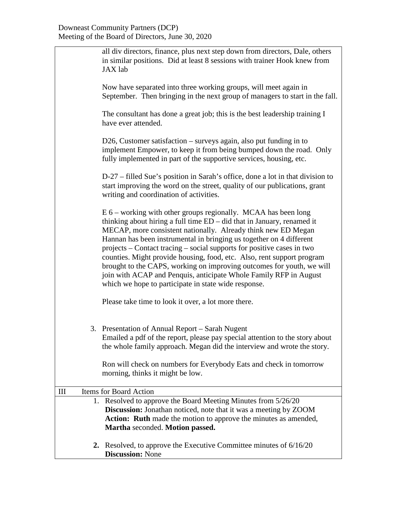|    | all div directors, finance, plus next step down from directors, Dale, others<br>in similar positions. Did at least 8 sessions with trainer Hook knew from<br>JAX lab                                                                                                                                                                                                                                                                                                                                                                                                                                                                           |
|----|------------------------------------------------------------------------------------------------------------------------------------------------------------------------------------------------------------------------------------------------------------------------------------------------------------------------------------------------------------------------------------------------------------------------------------------------------------------------------------------------------------------------------------------------------------------------------------------------------------------------------------------------|
|    | Now have separated into three working groups, will meet again in<br>September. Then bringing in the next group of managers to start in the fall.                                                                                                                                                                                                                                                                                                                                                                                                                                                                                               |
|    | The consultant has done a great job; this is the best leadership training I<br>have ever attended.                                                                                                                                                                                                                                                                                                                                                                                                                                                                                                                                             |
|    | D26, Customer satisfaction $-$ surveys again, also put funding in to<br>implement Empower, to keep it from being bumped down the road. Only<br>fully implemented in part of the supportive services, housing, etc.                                                                                                                                                                                                                                                                                                                                                                                                                             |
|    | D-27 – filled Sue's position in Sarah's office, done a lot in that division to<br>start improving the word on the street, quality of our publications, grant<br>writing and coordination of activities.                                                                                                                                                                                                                                                                                                                                                                                                                                        |
|    | $E$ 6 – working with other groups regionally. MCAA has been long<br>thinking about hiring a full time $ED - did$ that in January, renamed it<br>MECAP, more consistent nationally. Already think new ED Megan<br>Hannan has been instrumental in bringing us together on 4 different<br>projects – Contact tracing – social supports for positive cases in two<br>counties. Might provide housing, food, etc. Also, rent support program<br>brought to the CAPS, working on improving outcomes for youth, we will<br>join with ACAP and Penquis, anticipate Whole Family RFP in August<br>which we hope to participate in state wide response. |
|    | Please take time to look it over, a lot more there.                                                                                                                                                                                                                                                                                                                                                                                                                                                                                                                                                                                            |
|    | 3. Presentation of Annual Report – Sarah Nugent<br>Emailed a pdf of the report, please pay special attention to the story about<br>the whole family approach. Megan did the interview and wrote the story.<br>Ron will check on numbers for Everybody Eats and check in tomorrow<br>morning, thinks it might be low.                                                                                                                                                                                                                                                                                                                           |
| Ш  | Items for Board Action                                                                                                                                                                                                                                                                                                                                                                                                                                                                                                                                                                                                                         |
|    | 1. Resolved to approve the Board Meeting Minutes from 5/26/20<br>Discussion: Jonathan noticed, note that it was a meeting by ZOOM<br>Action: Ruth made the motion to approve the minutes as amended,<br>Martha seconded. Motion passed.                                                                                                                                                                                                                                                                                                                                                                                                        |
| 2. | Resolved, to approve the Executive Committee minutes of 6/16/20<br><b>Discussion: None</b>                                                                                                                                                                                                                                                                                                                                                                                                                                                                                                                                                     |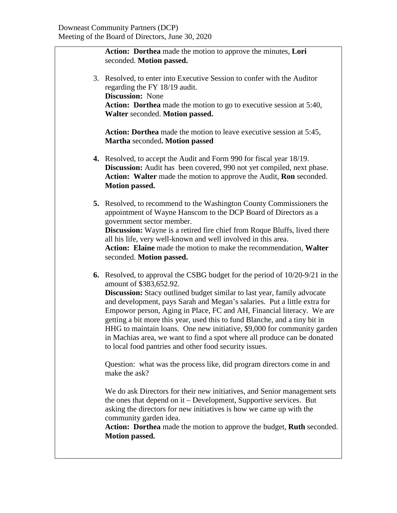| Action: Dorthea made the motion to approve the minutes, Lori<br>seconded. Motion passed.                                                                                                                                                                                                                                                                                                                                                                                                                                                                                                                                                                                                                                |
|-------------------------------------------------------------------------------------------------------------------------------------------------------------------------------------------------------------------------------------------------------------------------------------------------------------------------------------------------------------------------------------------------------------------------------------------------------------------------------------------------------------------------------------------------------------------------------------------------------------------------------------------------------------------------------------------------------------------------|
| 3. Resolved, to enter into Executive Session to confer with the Auditor<br>regarding the FY 18/19 audit.<br><b>Discussion:</b> None<br>Action: Dorthea made the motion to go to executive session at 5:40,<br>Walter seconded. Motion passed.                                                                                                                                                                                                                                                                                                                                                                                                                                                                           |
| <b>Action: Dorthea</b> made the motion to leave executive session at 5:45,<br>Martha seconded. Motion passed                                                                                                                                                                                                                                                                                                                                                                                                                                                                                                                                                                                                            |
| <b>4.</b> Resolved, to accept the Audit and Form 990 for fiscal year 18/19.<br><b>Discussion:</b> Audit has been covered, 990 not yet compiled, next phase.<br>Action: Walter made the motion to approve the Audit, Ron seconded.<br><b>Motion passed.</b>                                                                                                                                                                                                                                                                                                                                                                                                                                                              |
| <b>5.</b> Resolved, to recommend to the Washington County Commissioners the<br>appointment of Wayne Hanscom to the DCP Board of Directors as a<br>government sector member.<br><b>Discussion:</b> Wayne is a retired fire chief from Roque Bluffs, lived there<br>all his life, very well-known and well involved in this area.<br>Action: Elaine made the motion to make the recommendation, Walter<br>seconded. Motion passed.                                                                                                                                                                                                                                                                                        |
| 6. Resolved, to approval the CSBG budget for the period of 10/20-9/21 in the<br>amount of \$383,652.92.<br><b>Discussion:</b> Stacy outlined budget similar to last year, family advocate<br>and development, pays Sarah and Megan's salaries. Put a little extra for<br>Empowor person, Aging in Place, FC and AH, Financial literacy. We are<br>getting a bit more this year, used this to fund Blanche, and a tiny bit in<br>HHG to maintain loans. One new initiative, \$9,000 for community garden<br>in Machias area, we want to find a spot where all produce can be donated<br>to local food pantries and other food security issues.<br>Question: what was the process like, did program directors come in and |
| make the ask?<br>We do ask Directors for their new initiatives, and Senior management sets<br>the ones that depend on it - Development, Supportive services. But<br>asking the directors for new initiatives is how we came up with the<br>community garden idea.<br>Action: Dorthea made the motion to approve the budget, Ruth seconded.<br><b>Motion passed.</b>                                                                                                                                                                                                                                                                                                                                                     |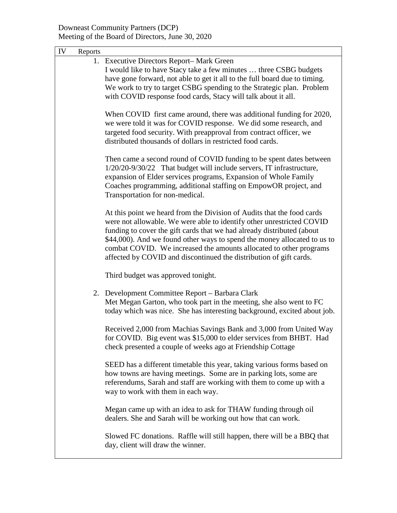| IV | Reports |                                                                                                                                                                                                                                                                                                                                                                                                                                                   |
|----|---------|---------------------------------------------------------------------------------------------------------------------------------------------------------------------------------------------------------------------------------------------------------------------------------------------------------------------------------------------------------------------------------------------------------------------------------------------------|
|    |         | 1. Executive Directors Report-Mark Green<br>I would like to have Stacy take a few minutes  three CSBG budgets<br>have gone forward, not able to get it all to the full board due to timing.<br>We work to try to target CSBG spending to the Strategic plan. Problem<br>with COVID response food cards, Stacy will talk about it all.                                                                                                             |
|    |         | When COVID first came around, there was additional funding for 2020,<br>we were told it was for COVID response. We did some research, and<br>targeted food security. With preapproval from contract officer, we<br>distributed thousands of dollars in restricted food cards.                                                                                                                                                                     |
|    |         | Then came a second round of COVID funding to be spent dates between<br>1/20/20-9/30/22 That budget will include servers, IT infrastructure,<br>expansion of Elder services programs, Expansion of Whole Family<br>Coaches programming, additional staffing on EmpowOR project, and<br>Transportation for non-medical.                                                                                                                             |
|    |         | At this point we heard from the Division of Audits that the food cards<br>were not allowable. We were able to identify other unrestricted COVID<br>funding to cover the gift cards that we had already distributed (about<br>\$44,000). And we found other ways to spend the money allocated to us to<br>combat COVID. We increased the amounts allocated to other programs<br>affected by COVID and discontinued the distribution of gift cards. |
|    |         | Third budget was approved tonight.                                                                                                                                                                                                                                                                                                                                                                                                                |
|    |         | 2. Development Committee Report – Barbara Clark<br>Met Megan Garton, who took part in the meeting, she also went to FC<br>today which was nice. She has interesting background, excited about job.                                                                                                                                                                                                                                                |
|    |         | Received 2,000 from Machias Savings Bank and 3,000 from United Way<br>for COVID. Big event was \$15,000 to elder services from BHBT. Had<br>check presented a couple of weeks ago at Friendship Cottage                                                                                                                                                                                                                                           |
|    |         | SEED has a different timetable this year, taking various forms based on<br>how towns are having meetings. Some are in parking lots, some are<br>referendums, Sarah and staff are working with them to come up with a<br>way to work with them in each way.                                                                                                                                                                                        |
|    |         | Megan came up with an idea to ask for THAW funding through oil<br>dealers. She and Sarah will be working out how that can work.                                                                                                                                                                                                                                                                                                                   |
|    |         | Slowed FC donations. Raffle will still happen, there will be a BBQ that<br>day, client will draw the winner.                                                                                                                                                                                                                                                                                                                                      |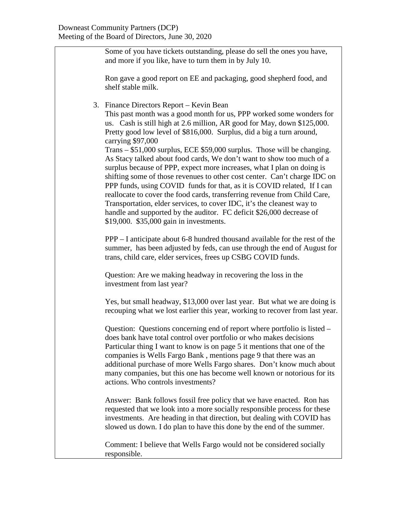Some of you have tickets outstanding, please do sell the ones you have, and more if you like, have to turn them in by July 10.

Ron gave a good report on EE and packaging, good shepherd food, and shelf stable milk.

3. Finance Directors Report – Kevin Bean

This past month was a good month for us, PPP worked some wonders for us. Cash is still high at 2.6 million, AR good for May, down \$125,000. Pretty good low level of \$816,000. Surplus, did a big a turn around, carrying \$97,000

Trans – \$51,000 surplus, ECE \$59,000 surplus. Those will be changing. As Stacy talked about food cards, We don't want to show too much of a surplus because of PPP, expect more increases, what I plan on doing is shifting some of those revenues to other cost center. Can't charge IDC on PPP funds, using COVID funds for that, as it is COVID related, If I can reallocate to cover the food cards, transferring revenue from Child Care, Transportation, elder services, to cover IDC, it's the cleanest way to handle and supported by the auditor. FC deficit \$26,000 decrease of \$19,000. \$35,000 gain in investments.

PPP – I anticipate about 6-8 hundred thousand available for the rest of the summer, has been adjusted by feds, can use through the end of August for trans, child care, elder services, frees up CSBG COVID funds.

Question: Are we making headway in recovering the loss in the investment from last year?

Yes, but small headway, \$13,000 over last year. But what we are doing is recouping what we lost earlier this year, working to recover from last year.

Question: Questions concerning end of report where portfolio is listed – does bank have total control over portfolio or who makes decisions Particular thing I want to know is on page 5 it mentions that one of the companies is Wells Fargo Bank , mentions page 9 that there was an additional purchase of more Wells Fargo shares. Don't know much about many companies, but this one has become well known or notorious for its actions. Who controls investments?

Answer: Bank follows fossil free policy that we have enacted. Ron has requested that we look into a more socially responsible process for these investments. Are heading in that direction, but dealing with COVID has slowed us down. I do plan to have this done by the end of the summer.

Comment: I believe that Wells Fargo would not be considered socially responsible.